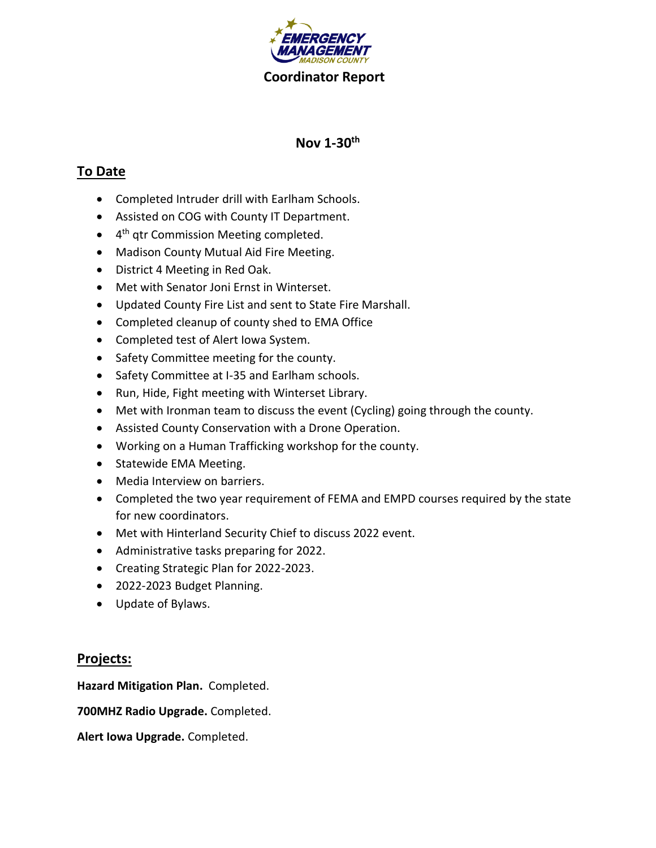

# **Nov 1-30 th**

# **To Date**

- Completed Intruder drill with Earlham Schools.
- Assisted on COG with County IT Department.
- 4<sup>th</sup> qtr Commission Meeting completed.
- Madison County Mutual Aid Fire Meeting.
- District 4 Meeting in Red Oak.
- Met with Senator Joni Ernst in Winterset.
- Updated County Fire List and sent to State Fire Marshall.
- Completed cleanup of county shed to EMA Office
- Completed test of Alert Iowa System.
- Safety Committee meeting for the county.
- Safety Committee at I-35 and Earlham schools.
- Run, Hide, Fight meeting with Winterset Library.
- Met with Ironman team to discuss the event (Cycling) going through the county.
- Assisted County Conservation with a Drone Operation.
- Working on a Human Trafficking workshop for the county.
- Statewide EMA Meeting.
- Media Interview on barriers.
- Completed the two year requirement of FEMA and EMPD courses required by the state for new coordinators.
- Met with Hinterland Security Chief to discuss 2022 event.
- Administrative tasks preparing for 2022.
- Creating Strategic Plan for 2022-2023.
- 2022-2023 Budget Planning.
- Update of Bylaws.

### **Projects:**

**Hazard Mitigation Plan.** Completed.

**700MHZ Radio Upgrade.** Completed.

**Alert Iowa Upgrade.** Completed.